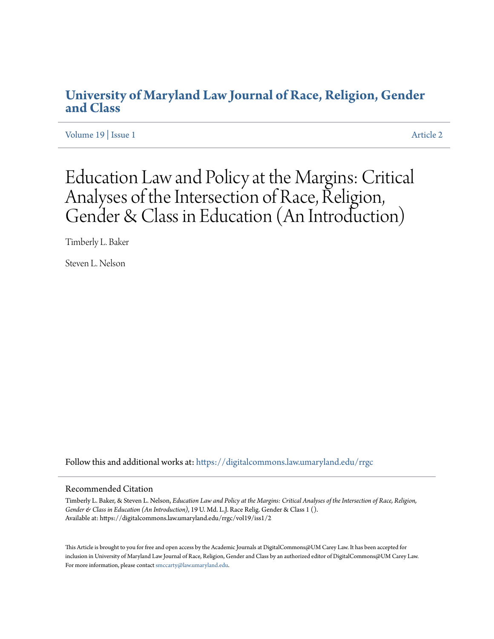# **[University of Maryland Law Journal of Race, Religion, Gender](https://digitalcommons.law.umaryland.edu/rrgc?utm_source=digitalcommons.law.umaryland.edu%2Frrgc%2Fvol19%2Fiss1%2F2&utm_medium=PDF&utm_campaign=PDFCoverPages) [and Class](https://digitalcommons.law.umaryland.edu/rrgc?utm_source=digitalcommons.law.umaryland.edu%2Frrgc%2Fvol19%2Fiss1%2F2&utm_medium=PDF&utm_campaign=PDFCoverPages)**

[Volume 19](https://digitalcommons.law.umaryland.edu/rrgc/vol19?utm_source=digitalcommons.law.umaryland.edu%2Frrgc%2Fvol19%2Fiss1%2F2&utm_medium=PDF&utm_campaign=PDFCoverPages) | [Issue 1](https://digitalcommons.law.umaryland.edu/rrgc/vol19/iss1?utm_source=digitalcommons.law.umaryland.edu%2Frrgc%2Fvol19%2Fiss1%2F2&utm_medium=PDF&utm_campaign=PDFCoverPages) [Article 2](https://digitalcommons.law.umaryland.edu/rrgc/vol19/iss1/2?utm_source=digitalcommons.law.umaryland.edu%2Frrgc%2Fvol19%2Fiss1%2F2&utm_medium=PDF&utm_campaign=PDFCoverPages)

Education Law and Policy at the Margins: Critical Analyses of the Intersection of Race, Religion, Gender & Class in Education (An Introduction)

Timberly L. Baker

Steven L. Nelson

Follow this and additional works at: [https://digitalcommons.law.umaryland.edu/rrgc](https://digitalcommons.law.umaryland.edu/rrgc?utm_source=digitalcommons.law.umaryland.edu%2Frrgc%2Fvol19%2Fiss1%2F2&utm_medium=PDF&utm_campaign=PDFCoverPages)

#### Recommended Citation

Timberly L. Baker, & Steven L. Nelson, *Education Law and Policy at the Margins: Critical Analyses of the Intersection of Race, Religion, Gender & Class in Education (An Introduction)*, 19 U. Md. L.J. Race Relig. Gender & Class 1 (). Available at: https://digitalcommons.law.umaryland.edu/rrgc/vol19/iss1/2

This Article is brought to you for free and open access by the Academic Journals at DigitalCommons@UM Carey Law. It has been accepted for inclusion in University of Maryland Law Journal of Race, Religion, Gender and Class by an authorized editor of DigitalCommons@UM Carey Law. For more information, please contact [smccarty@law.umaryland.edu.](mailto:smccarty@law.umaryland.edu)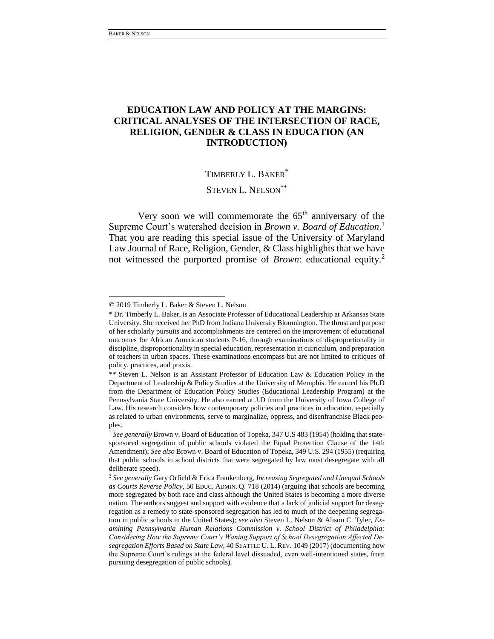## **EDUCATION LAW AND POLICY AT THE MARGINS: CRITICAL ANALYSES OF THE INTERSECTION OF RACE, RELIGION, GENDER & CLASS IN EDUCATION (AN INTRODUCTION)**

## TIMBERLY L. BAKER\*

STEVEN L. NELSON<sup>\*\*</sup>

Very soon we will commemorate the  $65<sup>th</sup>$  anniversary of the Supreme Court's watershed decision in *Brown v. Board of Education*. 1 That you are reading this special issue of the University of Maryland Law Journal of Race, Religion, Gender, & Class highlights that we have not witnessed the purported promise of *Brown*: educational equity.<sup>2</sup>

<sup>© 2019</sup> Timberly L. Baker & Steven L. Nelson

<sup>\*</sup> Dr. Timberly L. Baker, is an Associate Professor of Educational Leadership at Arkansas State University. She received her PhD from Indiana University Bloomington. The thrust and purpose of her scholarly pursuits and accomplishments are centered on the improvement of educational outcomes for African American students P-16, through examinations of disproportionality in discipline, disproportionality in special education, representation in curriculum, and preparation of teachers in urban spaces. These examinations encompass but are not limited to critiques of policy, practices, and praxis.

<sup>\*\*</sup> Steven L. Nelson is an Assistant Professor of Education Law & Education Policy in the Department of Leadership & Policy Studies at the University of Memphis. He earned his Ph.D from the Department of Education Policy Studies (Educational Leadership Program) at the Pennsylvania State University. He also earned at J.D from the University of Iowa College of Law. His research considers how contemporary policies and practices in education, especially as related to urban environments, serve to marginalize, oppress, and disenfranchise Black peoples.

<sup>1</sup> *See generally* Brown v. Board of Education of Topeka, 347 U.S 483 (1954) (holding that statesponsored segregation of public schools violated the Equal Protection Clause of the 14th Amendment); *See also* Brown v. Board of Education of Topeka, 349 U.S. 294 (1955) (requiring that public schools in school districts that were segregated by law must desegregate with all deliberate speed).

<sup>2</sup> *See generally* Gary Orfield & Erica Frankenberg, *Increasing Segregated and Unequal Schools as Courts Reverse Policy*, 50 EDUC. ADMIN. Q. 718 (2014) (arguing that schools are becoming more segregated by both race and class although the United States is becoming a more diverse nation. The authors suggest and support with evidence that a lack of judicial support for desegregation as a remedy to state-sponsored segregation has led to much of the deepening segregation in public schools in the United States); *see also* Steven L. Nelson & Alison C. Tyler, *Examining Pennsylvania Human Relations Commission v. School District of Philadelphia: Considering How the Supreme Court's Waning Support of School Desegregation Affected Desegregation Efforts Based on State Law*, 40 SEATTLE U. L. REV. 1049 (2017) (documenting how the Supreme Court's rulings at the federal level dissuaded, even well-intentioned states, from pursuing desegregation of public schools).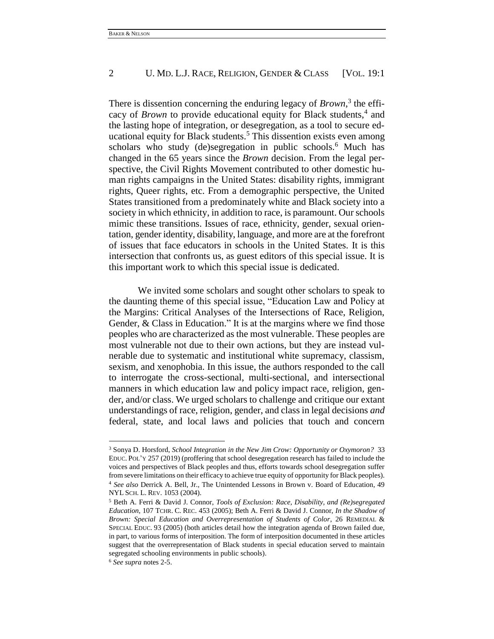## 2 U. MD. L.J. RACE, RELIGION, GENDER & CLASS [VOL. 19:1]

There is dissention concerning the enduring legacy of *Brown*,<sup>3</sup> the efficacy of *Brown* to provide educational equity for Black students,<sup>4</sup> and the lasting hope of integration, or desegregation, as a tool to secure educational equity for Black students.<sup>5</sup> This dissention exists even among scholars who study (de)segregation in public schools.<sup>6</sup> Much has changed in the 65 years since the *Brown* decision. From the legal perspective, the Civil Rights Movement contributed to other domestic human rights campaigns in the United States: disability rights, immigrant rights, Queer rights, etc. From a demographic perspective, the United States transitioned from a predominately white and Black society into a society in which ethnicity, in addition to race, is paramount. Our schools mimic these transitions. Issues of race, ethnicity, gender, sexual orientation, gender identity, disability, language, and more are at the forefront of issues that face educators in schools in the United States. It is this intersection that confronts us, as guest editors of this special issue. It is this important work to which this special issue is dedicated.

We invited some scholars and sought other scholars to speak to the daunting theme of this special issue, "Education Law and Policy at the Margins: Critical Analyses of the Intersections of Race, Religion, Gender, & Class in Education." It is at the margins where we find those peoples who are characterized as the most vulnerable. These peoples are most vulnerable not due to their own actions, but they are instead vulnerable due to systematic and institutional white supremacy, classism, sexism, and xenophobia. In this issue, the authors responded to the call to interrogate the cross-sectional, multi-sectional, and intersectional manners in which education law and policy impact race, religion, gender, and/or class. We urged scholars to challenge and critique our extant understandings of race, religion, gender, and class in legal decisions *and* federal, state, and local laws and policies that touch and concern

<sup>3</sup> Sonya D. Horsford, *School Integration in the New Jim Crow: Opportunity or Oxymoron?* 33 EDUC. POL'Y 257 (2019) (proffering that school desegregation research has failed to include the voices and perspectives of Black peoples and thus, efforts towards school desegregation suffer from severe limitations on their efficacy to achieve true equity of opportunity for Black peoples). <sup>4</sup> *See also* Derrick A. Bell, Jr., The Unintended Lessons in Brown v. Board of Education, 49 NYL SCH. L. REV. 1053 (2004).

<sup>5</sup> Beth A. Ferri & David J. Connor, *Tools of Exclusion: Race, Disability, and (Re)segregated Education*, 107 TCHR. C. REC. 453 (2005); Beth A. Ferri & David J. Connor, *In the Shadow of Brown: Special Education and Overrepresentation of Students of Color*, 26 REMEDIAL & SPECIAL EDUC. 93 (2005) (both articles detail how the integration agenda of Brown failed due, in part, to various forms of interposition. The form of interposition documented in these articles suggest that the overrepresentation of Black students in special education served to maintain segregated schooling environments in public schools).

<sup>6</sup> *See supra* notes 2-5.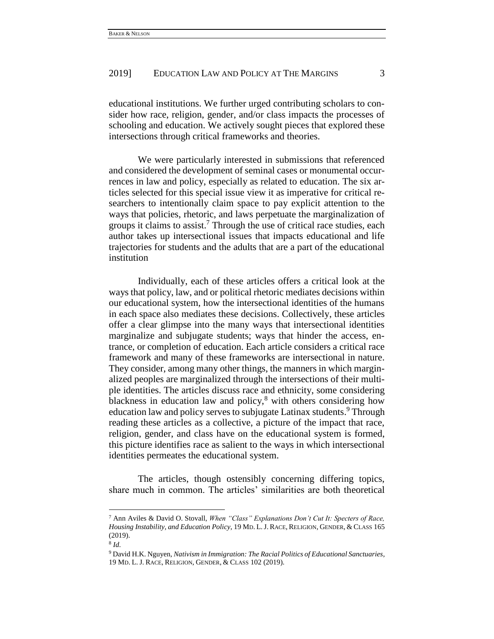## 2019] EDUCATION LAW AND POLICY AT THE MARGINS 3

educational institutions. We further urged contributing scholars to consider how race, religion, gender, and/or class impacts the processes of schooling and education. We actively sought pieces that explored these intersections through critical frameworks and theories.

We were particularly interested in submissions that referenced and considered the development of seminal cases or monumental occurrences in law and policy, especially as related to education. The six articles selected for this special issue view it as imperative for critical researchers to intentionally claim space to pay explicit attention to the ways that policies, rhetoric, and laws perpetuate the marginalization of groups it claims to assist.<sup>7</sup> Through the use of critical race studies, each author takes up intersectional issues that impacts educational and life trajectories for students and the adults that are a part of the educational institution

Individually, each of these articles offers a critical look at the ways that policy, law, and or political rhetoric mediates decisions within our educational system, how the intersectional identities of the humans in each space also mediates these decisions. Collectively, these articles offer a clear glimpse into the many ways that intersectional identities marginalize and subjugate students; ways that hinder the access, entrance, or completion of education. Each article considers a critical race framework and many of these frameworks are intersectional in nature. They consider, among many other things, the manners in which marginalized peoples are marginalized through the intersections of their multiple identities. The articles discuss race and ethnicity, some considering blackness in education law and policy, $8$  with others considering how education law and policy serves to subjugate Latinax students.<sup>9</sup> Through reading these articles as a collective, a picture of the impact that race, religion, gender, and class have on the educational system is formed, this picture identifies race as salient to the ways in which intersectional identities permeates the educational system.

The articles, though ostensibly concerning differing topics, share much in common. The articles' similarities are both theoretical

<sup>7</sup> Ann Aviles & David O. Stovall, *When "Class" Explanations Don't Cut It: Specters of Race, Housing Instability, and Education Policy*, 19 MD. L.J. RACE, RELIGION, GENDER, & CLASS 165 (2019).

<sup>8</sup> *Id.* 

<sup>9</sup> David H.K. Nguyen, *Nativism in Immigration: The Racial Politics of Educational Sanctuaries*, 19 MD. L. J. RACE, RELIGION, GENDER, & CLASS 102 (2019).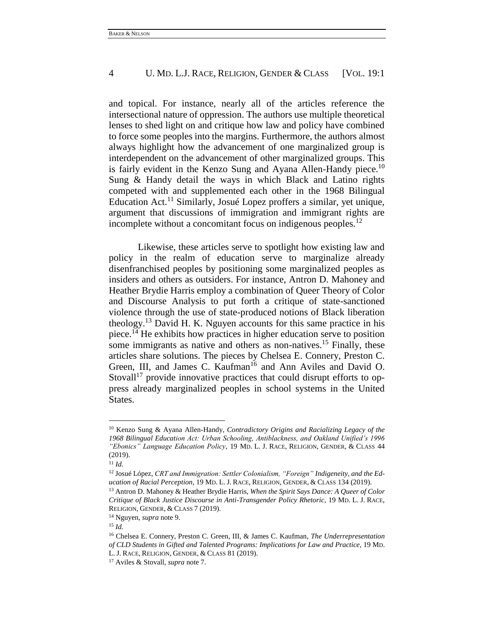## 4 U. MD. L.J. RACE, RELIGION, GENDER & CLASS [VOL. 19:1]

and topical. For instance, nearly all of the articles reference the intersectional nature of oppression. The authors use multiple theoretical lenses to shed light on and critique how law and policy have combined to force some peoples into the margins. Furthermore, the authors almost always highlight how the advancement of one marginalized group is interdependent on the advancement of other marginalized groups. This is fairly evident in the Kenzo Sung and Ayana Allen-Handy piece.<sup>10</sup> Sung & Handy detail the ways in which Black and Latino rights competed with and supplemented each other in the 1968 Bilingual Education Act.<sup>11</sup> Similarly, Josué Lopez proffers a similar, yet unique, argument that discussions of immigration and immigrant rights are incomplete without a concomitant focus on indigenous peoples.<sup>12</sup>

Likewise, these articles serve to spotlight how existing law and policy in the realm of education serve to marginalize already disenfranchised peoples by positioning some marginalized peoples as insiders and others as outsiders. For instance, Antron D. Mahoney and Heather Brydie Harris employ a combination of Queer Theory of Color and Discourse Analysis to put forth a critique of state-sanctioned violence through the use of state-produced notions of Black liberation theology.<sup>13</sup> David H. K. Nguyen accounts for this same practice in his piece.<sup>14</sup> He exhibits how practices in higher education serve to position some immigrants as native and others as non-natives.<sup>15</sup> Finally, these articles share solutions. The pieces by Chelsea E. Connery, Preston C. Green, III, and James C. Kaufman<sup>16</sup> and Ann Aviles and David O. Stovall<sup>17</sup> provide innovative practices that could disrupt efforts to oppress already marginalized peoples in school systems in the United States.

<sup>10</sup> Kenzo Sung & Ayana Allen-Handy, *Contradictory Origins and Racializing Legacy of the 1968 Bilingual Education Act: Urban Schooling, Antiblackness, and Oakland Unified's 1996 "Ebonics" Language Education Policy*, 19 MD. L. J. RACE, RELIGION, GENDER, & CLASS 44 (2019).

 $11$  *Id.* 

<sup>&</sup>lt;sup>12</sup> Josué López, CRT and Immigration: Settler Colonialism, "Foreign" Indigeneity, and the Ed*ucation of Racial Perception*, 19 MD. L. J. RACE, RELIGION, GENDER, & CLASS 134 (2019).

<sup>13</sup> Antron D. Mahoney & Heather Brydie Harris, *When the Spirit Says Dance: A Queer of Color Critique of Black Justice Discourse in Anti-Transgender Policy Rhetoric*, 19 MD. L. J. RACE, RELIGION, GENDER, & CLASS 7 (2019).

<sup>14</sup> Nguyen, *supra* note 9.

<sup>15</sup> *Id.* 

<sup>16</sup> Chelsea E. Connery, Preston C. Green, III, & James C. Kaufman, *The Underrepresentation of CLD Students in Gifted and Talented Programs: Implications for Law and Practice*, 19 MD. L. J. RACE, RELIGION, GENDER, & CLASS 81 (2019).

<sup>17</sup> Aviles & Stovall, *supra* note 7.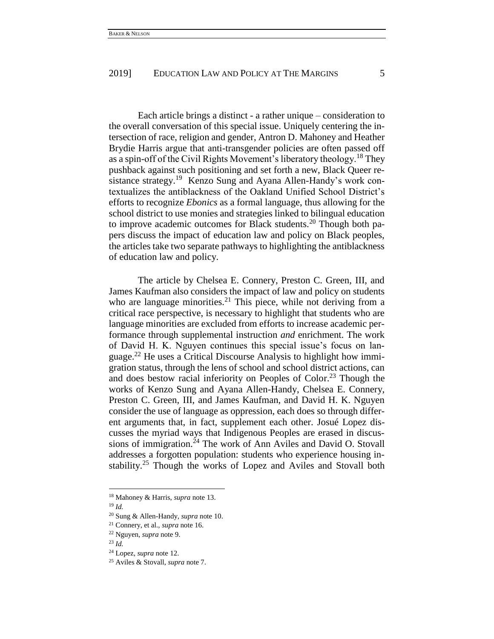## 2019] EDUCATION LAW AND POLICY AT THE MARGINS 5

Each article brings a distinct - a rather unique – consideration to the overall conversation of this special issue. Uniquely centering the intersection of race, religion and gender, Antron D. Mahoney and Heather Brydie Harris argue that anti-transgender policies are often passed off as a spin-off of the Civil Rights Movement's liberatory theology.<sup>18</sup> They pushback against such positioning and set forth a new, Black Queer resistance strategy.<sup>19</sup> Kenzo Sung and Ayana Allen-Handy's work contextualizes the antiblackness of the Oakland Unified School District's efforts to recognize *Ebonics* as a formal language, thus allowing for the school district to use monies and strategies linked to bilingual education to improve academic outcomes for Black students.<sup>20</sup> Though both papers discuss the impact of education law and policy on Black peoples, the articles take two separate pathways to highlighting the antiblackness of education law and policy.

The article by Chelsea E. Connery, Preston C. Green, III, and James Kaufman also considers the impact of law and policy on students who are language minorities.<sup>21</sup> This piece, while not deriving from a critical race perspective, is necessary to highlight that students who are language minorities are excluded from efforts to increase academic performance through supplemental instruction *and* enrichment. The work of David H. K. Nguyen continues this special issue's focus on language.<sup>22</sup> He uses a Critical Discourse Analysis to highlight how immigration status, through the lens of school and school district actions, can and does bestow racial inferiority on Peoples of Color.<sup>23</sup> Though the works of Kenzo Sung and Ayana Allen-Handy, Chelsea E. Connery, Preston C. Green, III, and James Kaufman, and David H. K. Nguyen consider the use of language as oppression, each does so through different arguments that, in fact, supplement each other. Josué Lopez discusses the myriad ways that Indigenous Peoples are erased in discussions of immigration.<sup>24</sup> The work of Ann Aviles and David O. Stovall addresses a forgotten population: students who experience housing instability.<sup>25</sup> Though the works of Lopez and Aviles and Stovall both

<sup>18</sup> Mahoney & Harris, *supra* note 13.

<sup>19</sup> *Id.* 

<sup>20</sup> Sung & Allen-Handy, *supra* note 10.

<sup>21</sup> Connery, et al., *supra* note 16.

<sup>22</sup> Nguyen, *supra* note 9.

 $^{23}$  *Id.* 

<sup>24</sup> Lopez, *supra* note 12.

<sup>25</sup> Aviles & Stovall, *supra* note 7.